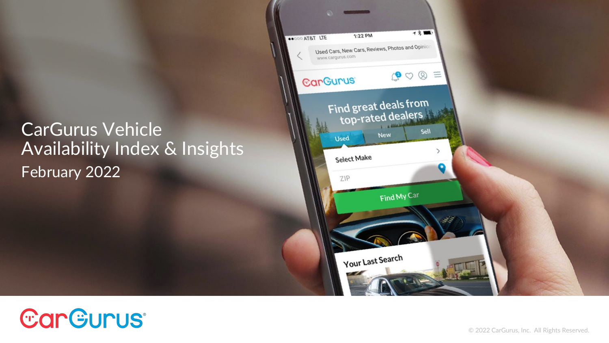### CarGurus Vehicle Availability Index & Insights February 2022



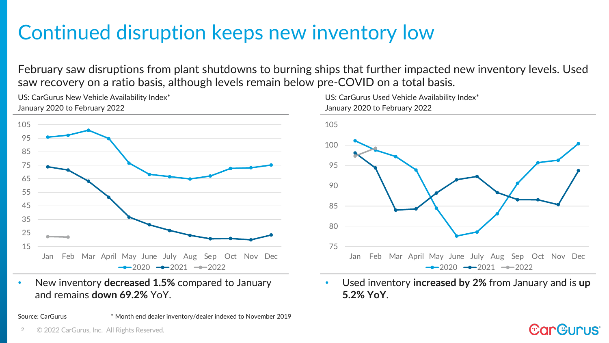# Continued disruption keeps new inventory low

February saw disruptions from plant shutdowns to burning ships that further impacted new inventory levels. Used saw recovery on a ratio basis, although levels remain below pre-COVID on a total basis.



US: CarGurus New Vehicle Availability Index\*



• New inventory **decreased 1.5%** compared to January and remains **down 69.2%** YoY.

Source: CarGurus \* Month end dealer inventory/dealer indexed to November 2019



• Used inventory **increased by 2%** from January and is **up 5.2% YoY**.

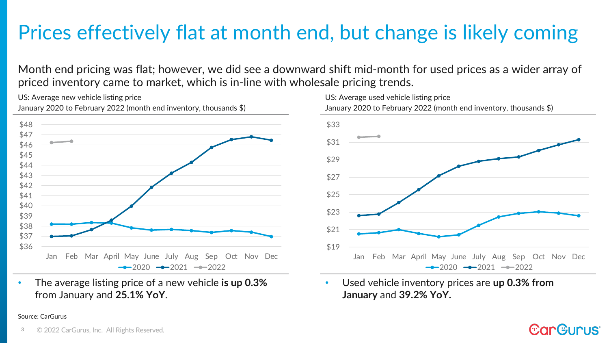## Prices effectively flat at month end, but change is likely coming

Month end pricing was flat; however, we did see a downward shift mid-month for used prices as a wider array of priced inventory came to market, which is in-line with wholesale pricing trends.

January 2020 to February 2022 (month end inventory, thousands \$) \$36 \$37 \$38 \$39 \$40 \$41 \$42 \$43 \$44 \$45 \$46 \$47 \$48 Jan Feb Mar April May June July Aug Sep Oct Nov Dec  $-2020$   $-2021$   $-2022$ 

• The average listing price of a new vehicle **is up 0.3%**  from January and **25.1% YoY**.

### Source: CarGurus



• Used vehicle inventory prices are **up 0.3% from January** and **39.2% YoY.**

**CarGurus** 

#### 3 © 2022 CarGurus, Inc. All Rights Reserved.

US: Average new vehicle listing price